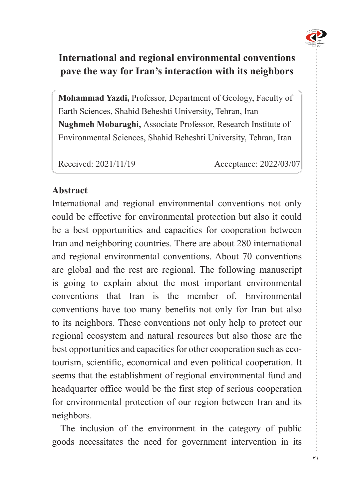

# **International and regional environmental conventions** pave the way for Iran's interaction with its neighbors

Mohammad Yazdi, Professor, Department of Geology, Faculty of Earth Sciences, Shahid Beheshti University, Tehran, Iran Naghmeh Mobaraghi, Associate Professor, Research Institute of Environmental Sciences, Shahid Beheshti University, Tehran, Iran

Received: 2021/11/19 Acceptance: 2022/03/07

# **Abstract**

International and regional environmental conventions not only could be effective for environmental protection but also it could be a best opportunities and capacities for cooperation between Iran and neighboring countries. There are about 280 international and regional environmental conventions. About 70 conventions are global and the rest are regional. The following manuscript is going to explain about the most important environmental conventions that Iran is the member of Environmental conventions have too many benefits not only for Iran but also to its neighbors. These conventions not only help to protect our regional ecosystem and natural resources but also those are the tourism, scientific, economical and even political cooperation. It best opportunities and capacities for other cooperation such as ecoseems that the establishment of regional environmental fund and headquarter office would be the first step of serious cooperation for environmental protection of our region between Iran and its neighbors.

The inclusion of the environment in the category of public goods necessitates the need for government intervention in its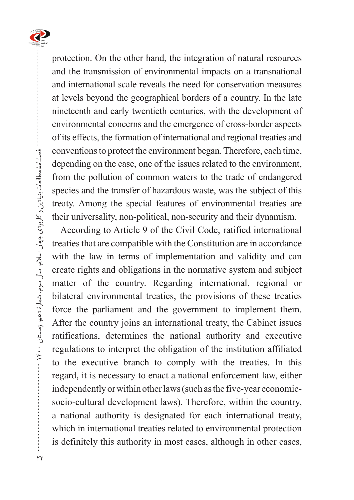

protection. On the other hand, the integration of natural resources and the transmission of environmental impacts on a transnational and international scale reveals the need for conservation measures at levels beyond the geographical borders of a country. In the late nineteenth and early twentieth centuries, with the development of environmental concerns and the emergence of cross-border aspects of its effects, the formation of international and regional treaties and conventions to protect the environment began. Therefore, each time, depending on the case, one of the issues related to the environment, from the pollution of common waters to the trade of endangered species and the transfer of hazardous waste, was the subject of this treaty. Among the special features of environmental treaties are their universality, non-political, non-security and their dynamism.

According to Article 9 of the Civil Code, ratified international treaties that are compatible with the Constitution are in accordance with the law in terms of implementation and validity and can create rights and obligations in the normative system and subject matter of the country. Regarding international, regional or bilateral environmental treaties, the provisions of these treaties force the parliament and the government to implement them. After the country joins an international treaty, the Cabinet issues ratifications, determines the national authority and executive regulations to interpret the obligation of the institution affiliated to the executive branch to comply with the treaties. In this regard, it is necessary to enact a national enforcement law, either socio-cultural development laws). Therefore, within the country, independently or within other laws (such as the five-year economica national authority is designated for each international treaty, which in international treaties related to environmental protection is definitely this authority in most cases, although in other cases,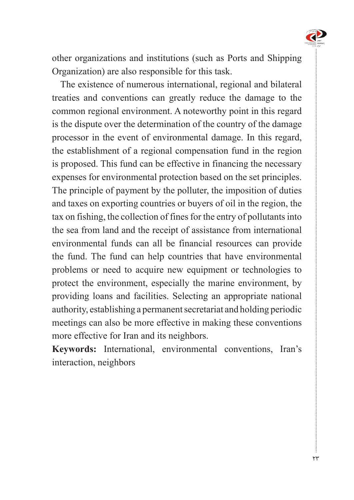

other organizations and institutions (such as Ports and Shipping Organization) are also responsible for this task.

The existence of numerous international, regional and bilateral treaties and conventions can greatly reduce the damage to the common regional environment. A noteworthy point in this regard is the dispute over the determination of the country of the damage processor in the event of environmental damage. In this regard, the establishment of a regional compensation fund in the region is proposed. This fund can be effective in financing the necessary expenses for environmental protection based on the set principles. The principle of payment by the polluter, the imposition of duties and taxes on exporting countries or buyers of oil in the region, the tax on fishing, the collection of fines for the entry of pollutants into the sea from land and the receipt of assistance from international environmental funds can all be financial resources can provide the fund. The fund can help countries that have environmental problems or need to acquire new equipment or technologies to protect the environment, especially the marine environment, by providing loans and facilities. Selecting an appropriate national authority, establishing a permanent secretariat and holding periodic meetings can also be more effective in making these conventions more effective for Iran and its neighbors.

Keywords: International, environmental conventions, Iran's interaction, neighbors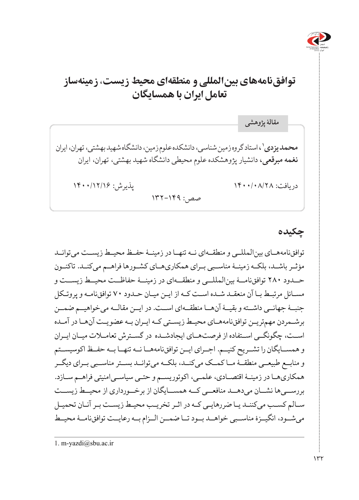

# **توافقنامههای بینالمللی و منطقهای محیط زیست، زمینهساز تعامل ایران با همسایگان**

**،1** استاد گروه زمین شناسی، دانشکده علوم زمین، دانشگاه شهید بهشتی، تهران، ایران **محمد یزدی نغمه مبرقعی،** دانشیار پژوهشکده علوم محیطی دانشگاه شهید بهشتی، تهران، ایران دریافت: ۱۴۰۰/۰۸/۲۸ پادریافت: ۱۴۰۰/۰۸/۲۸ پذیرش: ۱۴۰۰/۱۲/۱۶ صص: 132-149 **مقالۀ پژوهشی**

**چکیده**

توافقنامههــای بینالمللــی و منطقــهای نــه تنهــا در زمینــۀ حفــظ محیــط زیســت میتوانــد مؤثـر باشــد، بلکــه زمینــۀ مناســبی بــرای همکاریهــای کشــورها فراهــم می کنــد. تاکنــون حــدود ۲۸۰ توافقنامــۀ بینالمللــی و منطقــهای در زمینــۀ حفاظــت محیــط زیســت و مسـائل مرتبـط بـا آن منعقـد شـده اسـت کـه از ایـن میـان حـدود ۷۰ توافقنامـه و پروتـکل جنبــهٔ جهانــي داشــته و بقيــهٔ آنهــا منطقــهای اســت. در ايــن مقالــه می خواهيــم ضمــن برشـمردن مهمتریـن توافقنامههـای محیـط زیسـتی کـه ایـران بـه عضویـت آنهـا در آمـده اســت، چگونگــی اســتفاده از فرصتهــای ایجادشــده در گســترش تعامــات میــان ایــران و همســایگان را تشــریح کنیــم. اجــرای ایــن توافقنامههــا نــه تنهــا بــه حفــظ اکوسیســتم و منابــع طبیعــی منطقــۀ مــا کمــک میکنــد، بلکــه میتوانــد بســتر مناســبی بــرای دیگــر همکاریهـا در زمینـۀ اقتصـادی، علمـی، اکوتوریسـم و حتـی سیاسـیامنیتی فراهـم سـازد. بررســیها نشــان میدهــد منافعــی کــه همســایگان از برخــورداری از محیــط زیســت سـالم کسـب میکننـد یـا ضررهایـی کـه در اثـر تخریـب محیـط زیسـت بـر آنـان تحمیـل میشــود، انگیــزۀ مناســبی خواهــد بــود تــا ضمــن الــزام بــه رعایــت توافقنامــۀ محیــط

<sup>1.</sup> m-yazdi@sbu.ac.ir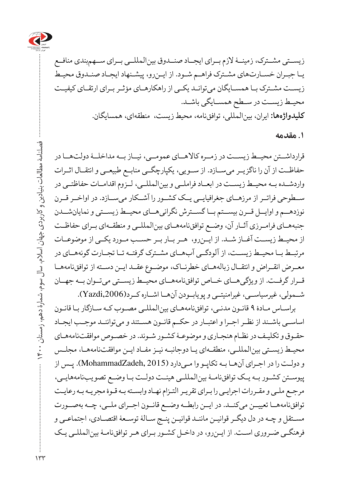

زیســتی مشــترک، زمینــۀ الزم بــرای ایجــاد صنــدوق بینالمللــی بــرای ســهمبندی منافــع یـا جبـران خسـارتهای مشـترک فراهـم شـود. از ایـنرو، پیشـنهاد ایجـاد صنـدوق محیـط زیسـت مشـترک بـا همسـایگان میتوانـد یکـی از راهکارهـای مؤثـر بـرای ارتقـای کیفیـت محیــط زیســت در ســطح همســایگی باشــد. **کلیدواژهها:** ایران، بینالمللی، توافقنامه، محیط زیست، منطقهای، همسایگان.

#### **.1 مقدمه**

قرارداشــتن محیــط زیســت در زمــره کاالهــای عمومــی، نیــاز بــه مداخلــۀ دولتهــا در حفاظــت از آن را ناگزیــر میســازد. از ســویی، یکپارچگــی منابــع طبیعــی و انتقــال اثــرات واردشــده بــه محیــط زیســت در ابعــاد فراملــی و بینالمللــی، لــزوم اقدامــات حفاظتــی در ســطوحی فراتــر از مرزهــای جغرافیایــی یــک کشــور را آشــکار میســازد. در اواخــر قــرن نوزدهــم و اوایــل قــرن بیســتم بــا گســترش نگرانیهــای محیــط زیســتی و نمایانشــدن جنبههـای فرامرــزی آثاــر آن، وضــع توافقنامههاــی بینالمللــی و منطقــهای بــرای حفاظــت از محیــط زیســت آغــاز شــد. از ایــنرو، هــر بــار بــر حســب مــورد یکــی از موضوعــات مرتبــط بــا محیــط زیســت، از آلودگــی آبهــای مشــترک گرفتــه تــا تجــارت گونههــای در مع رض انق راض و انتق ال زبالههاـی خطرنــاک، موض وع عق د ای ن دس ته از توافقنامههــا قــرار گرفــت. از ویژگی هــای خــاص توافقنامههــای محیــط زیســتی می تــوان بــه جهــان شــمولی، غیرسیاســی، غیرامنیتــی و پویابــودن آنهــا اشــاره کــرد(,2006Yazdi(.

براسـاس مـادۀ 9 قانــن مدنـی، توافقنامههـای بینالمللـی مصـوب کـه سـازگار بـا قانـون اساســی باشــند از نظــر اجــرا و اعتبــار در حکــم قانــون هســتند و میتواننــد موجــب ایجــاد حقـوق و تکلیـف در نظـام هنجـاری و موضوعـۀ کشـور شـوند. در خصـوص موافقتنامههـای محیـط زیسـتی بینالمللـی، منطقـهای یـا دوجانبـه نیـز مفـاد ایـن موافقتنامههـا، مجلـس و دولـت را در اجـرای آنهـا بـه تکاپـو وا مـیدارد (2015 ,MohammadZadeh(. پـس از پیوسـتن کشـور بـه یـک توافقنامـۀ بینالمللـی هیئـت دولـت بـا وضـع تصویبنامههایـی، مرجـع ملـی و مقـررات اجرایـی را بـرای تقریـر التـزام نهـاد وابسـته بـه قـوۀ مجریـه بـه رعایـت توافقنامهه ا تعییــن میکنــد. در ایــن رابطــه وضــع قانــون اجــرای ملــی، چــه بهصــورت مسـتقل و چـه در دل دیگـر قوانیـن ماننـد قوانیـن پنـج سـالۀ توسـعۀ اقتصـادی، اجتماعـی و فرهنگـی ضـروری اسـت. از ایـنرو، در داخـل کشـور بـرای هـر توافقنامـۀ بینالمللـی یـک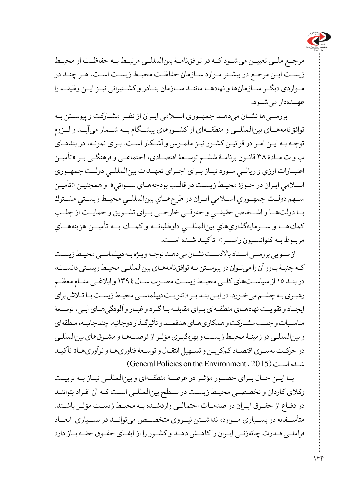

مرجــع ملــی تعییــن میشــود کــه در توافقنامــۀ بینالمللــی مرتبــط بــه حفاظــت از محیــط زیسـت ایـن مرجـع در بیشـتر مـوارد سـازمان حفاظـت محیـط زیسـت اسـت. هـر چنـد در مــواردی دیگــر ســازمانها و نهادهــا ماننــد ســازمان بنــادر و کشــتیرانی نیــز ایــن وظیفــه را عهــدهدار میشــود.

 بررســیها نشــان میدهــد جمهــوری اســامی ایــران از نظــر مشــارکت و پیوســتن بــه توافقنامههــای بینالمللــی و منطقــهای از کشــورهای پیشــگام بــه شــمار میآیــد و لــزوم توجـه بـه ایـن امـر در قوانیـن کشـور نیـز ملمـوس و آشـکار اسـت. بـرای نمونـه، در بندهـای پ و ت مـادۀ 38 قانـون برنامـۀ ششـم توسـعۀ اقتصـادی، اجتماعـی و فرهنگـی بـر »تأميـن اعتبــارات ارزي و ريالــي مــورد نيــاز بــرای اجــراي تعهــدات بينالمللــي دولــت جمهــوري اسـامي ايـران در حـوزۀ محيـط زيسـت در قالـب بودجههـاي سـنواتي« و همچنیـن »تأميـن ســهم دولــت جمهــوري اســامي ايــران در طرحهــاي بينالمللــي محيــط زيســتي مشــترك بــا دولتهــا و اشــخاص حقيقــي و حقوقــي خارجــي بــرای تشــويق و حمايــت از جلــب كمكهــا و ســرمايهگذاريهاي بينالمللــي داوطلبانــه و كمــك بــه تأميــن هزينههــاي مربـوط بـه كنوانسـيون رامسـر« تأکیـد شـده اسـت.

از سـویی بررسـی اسـناد باالدسـت نشـان میدهـد توجـه ویـژه بـه دیپلماسـی محیـط زیسـت کـه جنبـهٔ بـارز آن را میتوان در پیوسـتن بـه توافقنامههـای بینالمللـی محیـط زیسـتی دانسـت، در بنـد 15 از سیاسـتهای کلـی محیـط زیسـت مصـوب سـال 1394 و ابالغـی مقـام معظـم رهبـری بـه چشـم می خـورد. در ایـن بنـد بـر «تقویـت دیپلماسـی محیـط زیسـت بـا تـلاش برای ایجـاد و تقویـت نهادهـای منطقـهای بـرای مقابلـه بـا گـرد و غبـار و آلودگیهـای آبـی، توسـعۀ مناسـبات و جلـب مشـارکت و همکاریهـای هدفمنـد و تأثیرگـذار دوجانبه، چندجانبـه، منطقهای و بینالمللـی در زمینـۀ محیـط زیسـت و بهرهگیـری مؤثـر از فرصتهـا و مشـوقهای بینالمللـی در حرکـت بهسـوی اقتصـاد کمکربـن و تسـهیل انتقـال و توسـعۀ فناوریهـا و نوآوریهـا« تأکیـد شـده اسـت (2015 , General Policies on the Environment)

 بــا ایــن حــال بــرای حضــور مؤثــر در عرصــۀ منطقــهای و بینالمللــی نیــاز بــه تربیــت وکالی کاردان و تخصصـی محیـط زیسـت در سـطح بینالمللـی اسـت کـه آن افـراد بتواننـد در دفـاع از حقـوق ایـران در صدمـات احتمالـی واردشـده بـه محیـط زیسـت مؤثـر باشـند. متأســفانه در بســیاری مــوارد، نداشــتن نیــروی متخصــص میتوانــد در بســیاری ابعــاد فراملـی قـدرت چانهزنـی ایـران را کاهـش دهـد و کشـور را از ایفـای حقـوق حقـه بـاز دارد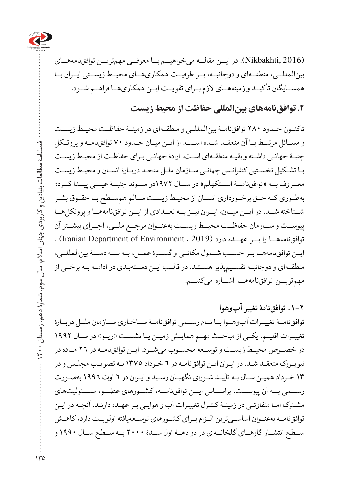

(2016 ,Nikbakhti(. در ایــن مقالــه میخواهیــم بــا معرفــی مهمتریــن توافقنامههــای بینالمللــی، منطقــهای و دوجانبــه، بــر ظرفیــت همکاریهــای محیــط زیســتی ایــران بــا همســایگان تأکیــد و زمینههــای الزم بــرای تقویــت ایــن همکاریهــا فراهــم شــود.

**.2 توافقنامههای بینالمللی حفاظت از محیط زیست** 

تاکنــون حــدود ۲۸۰ توافقنامــۀ بینالمللــی و منطقــهای در زمینــۀ حفاظــت محیــط زیســت و مســائل مرتبــط بــا آن منعقــد شــده اســت. از ایــن میــان حــدود ۷۰ توافقنامـه و پروتــکل جنبـۀ جهانـی داشـته و بقیـه منطقـهای اسـت. ارادۀ جهانـی بـرای حفاظـت از محیـط زیسـت بـا تشـکیل نخسـتین کنفرانـس جهانـی سـازمان ملـل متحـد دربـارۀ انسـان و محیـط زیسـت مع روف بــه »توافقنامـ ۀ اســتکهلم« در ســال ۱۹۷۲در ســوئد جنبــۀ عینــی پیــدا کــرد؛ بهطـوری کـه حـق برخـورداری انسـان از محیـط زیسـت سـالم همسـطح بـا حقـوق بشـر شــناخته شــد. در ایــن میــان، ایــران نیــز بــه تعــدادی از ایــن توافقنامههــا و پروتکل هــا پیوســت و ســازمان حفاظــت محیــط زیســت بهعنــوان مرجــع ملــی، اجــرای بیشــتر آن توافق نامه هــا را بــر عهــده دارد (Iranian Department of Environment , 2019) . ایـن توافقنامهه ا بــر حســب شــمول مکانــی و گســترۀ عمــل، بــه ســه دســتۀ بینالمللــی، منطقـهای و دوجانبـه تقسـیمپذیر هسـتند. در قالـب ایـن دسـتهبندی در ادامـه بـه برخـی از مهمتریـ ن توافقنامههــا اشــاره میکنیــم.

**.1-2 توافقنامۀ تغییر آبوهوا** توافقنامــهٔ تغییــرات آبوهــوا بــا نــام رســمی توافقنامــهٔ ســاختاری ســازمان ملــل دربــارۀ تغییـرات اقلیـم، یکـی از مباحـث مهـم همایـش زمیـن یـا نشسـت «ریـو» در سـال ۱۹۹۲ در خصــوص محیـط زیسـت و توســعه محســوب میشــود. ایــن توافقنامــه در ٢٦ مــاده در نیویهورک منعقلد شـلد. در ایـران ایـن توافقنامـه در ٦ خـرداد ١٣٧٥ بـه تصویـب مجلـس و در 13 خـرداد همیـن سـال بـه تأییـد شـورای نگهبـان رسـید و ایـران در 6 اوت 1996 بهصـورت رســمی بــه آن پیوســت. براســاس ایــن توافقنامــه، کشــورهای عضــو، مســئولیتهای مشـترک امـا متفاوتـی در زمینـۀ کنتـرل تغییـرات آب و هوایـی بـر عهـده دارنـد. آنچـه در ایـن توافقنامــه بهعنــوان اساســیترین الــزام بــرای کشــورهای توســعهیافته اولویــت دارد، کاهــش ســطح انتشــار گازهــای گلخانــهای در دو دهــۀ اول ســدۀ ۲۰۰۰ بــه ســطح ســال ۱۹۹۰ و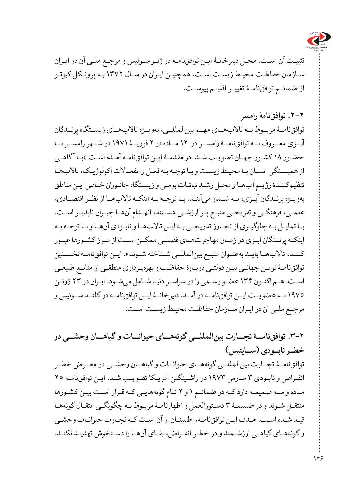

تثبیـت آن اسـت. محـل دبیرخانـهٔ ایـن توافقنامـه در ژنـو سـوئیس و مرجـع ملـی آن در ایـران سـازمان حفاظـت محیـط زیسـت اسـت. همچنیـن ایـران در سـال 1372 بـه پروتـکل کیوتـو از ضمائـم توافقنام ۀ تغییــر اقلیــم پیوســت.

**.2-2 توافقنامۀ رامسر**

توافقنامــهٔ مربــوط بــه تالابهــای مهــم بین المللــی، بهویــژه تالابهــای زیســتگاه پرنــدگان آبــزی معــروف بــه توافق نامــۀ رامســر در ١٢ مــاده در ٢ فوریــۀ ١٩٧١ در شـــهر رامســر بــا حضـور ۱۸ کشـور جه ان تصویبـ ش د. در مقدم ۀ ایـن توافقنامـه آمـده اسـت »بـا آگاهـی از همبسـتگی انسـان بـا محیـط زیسـت و بـا توجـه بـه فعـل و انفعـاالت اکولوژیـک، تاالبهـا تنظیمکننـدۀ رژیـم آبهـا و محـل رشـد نباتـات بومـی و زیسـتگاه جانـوران خـاص ایـن مناطق بهویــژه پرنــدگان آبــزی، بــه شــمار میآینــد. بــا توجــه بــه اینکــه تاالبهــا از نظــر اقتصــادی، علمـی، فرهنگـی و تفریحـی منبـع پـر ارزشـی هسـتند، انهـدام آنهـا جبـران ناپذیـر اسـت. بـا تمایـل بـه جلوگیـری از تجـاوز تدریجـی بـه ایـن تاالبهـا و نابـودی آنهـا و بـا توجـه بـه اینکــه پرنــدگان آبــزی در زمــان مهاجرتهــای فصلــی ممکــن اســت از مــرز کشــورها عبــور كننــد، تالابهــا بایــد بهعنــوان منبــع بینالمللــي شــناخته شــوند». ایــن توافقنامــه نخســتین توافقنامـۀ نویـن جهانـی بیـن دولتـی دربـارۀ حفاظـت و بهرهبـرداری منطقـی از منابـع طبیعـی اسـت. هـم اکنـون ۱۳۴ عضـو رسـمی را در سراسـر دنیـا شـامل میشـود. ایـران در 23 ژوئـن ١٩٧٥ بــه عضو يــت ايــن توافقiامــه در آمــد. دبيرخانــهٔ ايــن توافقiامــه در گلنــد ســوئيس و مرجـع ملـی آن در ایـران سـازمان حفاظـت محیـط زیسـت اسـت.

**.3-2 توافقنام ۀ تجــارت بینالمللــی گونههــای حیوانــات و گیاهــان وحشــی در خطــر نابــودی )ســایتیس(**  توافقنامــۀ تجــارت بینالمللــی گونههــای حیوانــات و گیاهــان وحشــی در معــرض خطــر

انقـراض و نابـودی ۳ مـارس ۱۹۷۳ در واشـینگتن آمریـكا تصویـب شـد. ایـن توافق نامـه ۲۵ مـاده و سـه ضمیمـه دارد کـه در ضمائـم 1 و 2 نـام گونههایـی کـه قـرار اسـت بیـن کشـورها منتقـل شـوند و در ضمیمـۀ 3 دسـتورالعمل و اظهارنامـۀ مربـوط بـه چگونگـی انتقـال گونههـا قیـد شــه اس ت. هـدف ایـن توافقنامـه، اطمینـان از آن اسـت کـه تجـارت حیوانـات وحشـی و گونههـای گیاهـی ارزشـمند و در خطـر انقـراض، بقـای آنهـا را دسـتخوش تهدیـد نکنـد.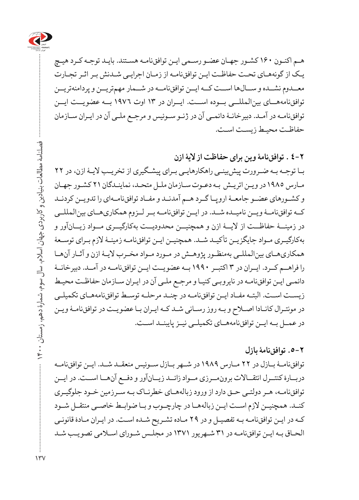

هـم اکنـون ۱۶۰ کش ور جهــن عضــ رسـمی ایـن توافقنامـه هسـتند. بایـد توجـه کـرد هیـچ ی ک از گونههـای تحـت حفاظ ت ای ن توافقنام ه از زمـان اجرایـی شـدنش بـر اثـر تجـارت معــدوم نشــده و س الها اس ت ک ه ایــن توافقنامــه در شــمار مهمتریــن و پردامنهتریــن توافقنامههاـی بینالمللــی بــوده اســت. ایــران در 13 اوت 1976 بــه عضویــت ایــن توافقنامـه در آمـد. دبیرخانـۀ دائمـی آن در ژنـو سـوئیس و مرجـع ملـی آن در ایـران سـازمان حفاظـت محیـط زیسـت اسـت.

**4-2 . توافقنامۀ وین برای حفاظت از الیۀ ازن** بـا توجـه بـه ضـرورت پیشبینـی راهکارهایـی بـرای پیشـگیری از تخریـب الیـۀ ازن، در 22 مـارس 1985 در ویـن اتریـش بـه دعـوت سـازمان ملـل متحـد، نماینـدگان ۲۱ کشـور جهـان و کشوـرهای عضــو جامعــۀ اروپ ا گرــد ه م آمدندــ و مفاــد توافقنام های را تدویــن کردنــد کهــ توافقنامۀــ ویــن نامیــده شــد. در ایــن توافقنامــه بــر لــزوم همکاریهــای بینالمللــی در زمینــۀ حفاظــت از الیــۀ ازن و همچنیــن محدودیــت بهکارگیــری مــواد زیــانآور و بهکارگیرــی موــاد جایگزینـ تأکیدـ ش د. همچنی ن ایـن توافقنامـه زمینـۀ الزم بـرای توسـعۀ همکاریهـای بینالمللـی بهمنظـور پژوهـش در مـورد مـواد مخـرب الیـۀ ازن و آثـار آنهـا را فراهــم کــرد. ایــران در 3 اکتبــر 1990 بهـ عضوی ت ایــن توافقنامــه در آمــد. دبیرخانــۀ دائمـی ایـن توافقنامـه در نایروبـی کنیـا و مرجـع ملـی آن در ایـران سـازمان حفاظـت محیـط زیسـت اسـت. البتـه مفـاد ایـن توافقنامـه در چنـد مرحلـه توسـط توافقنامههـاى تكميلـى در مونتـرال کانـادا اصـلاح و بـه روز رسـانی شـد کـه ایـران بـا عضویـت در توافقنامـۀ ویـن در عمــل بـه ایــن توافقنامههــای تکمیلــی نیــز پایبنــد اســت.

#### **.5-2 توافقنامۀ بازل**

توافقنامــهٔ بــازل در ٢٢ مــارس ١٩٨٩ در شــهر بــازل ســوئيس منعقــد شــد. ايــن توافقنامــه دربــارۀ کنتــرل انتقــاالت برونمــرزی مــواد زائــد زیــانآور و دفــع آنهــا اســت. در ایــن توافقنامـه، هـر دولتـی حـق دارد از ورود زبالههـای خطرنـاک بـه سـرزمین خـود جلوگیـری کنــد. همچنیــن الزم اســت ایــن زبالههــا در چارچــوب و بــا ضوابــط خاصــی منتقــل شــود کـه در ایـن توافقنامـه بـه تفصيـل و در ٢٩ مـاده تشـريح شـده اسـت. در ايـران مـادۀ قانونـی الحـاق بـه ایـن توافقنامـه در ٣١ شـهریور ١٣٧١ در مجلـس شـورای اسـلامی تصویـب شـد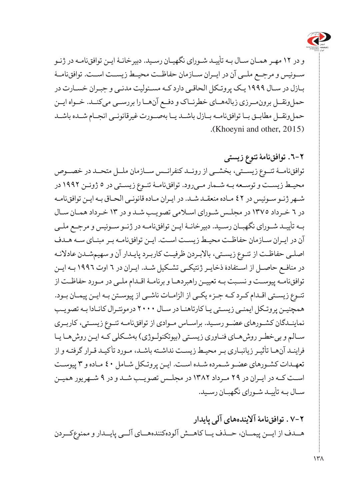

و در ۱۲ مهـر همـان سـال بـه تأییـد شـورای نگهیـان رسـید. دبیرخانـهٔ ایـن توافقiامـه در ژنـو ســوئیس و مرجــع ملــی آن در ایــران ســازمان حفاظــت محیــط زیســت اســت. توافقنامــۀ بـازل در سـال 1999 یـک پروتـکل الحاقـی دارد کـه مسـئولیت مدنـی و جبـران خسـارت در حملونقــل برونمــرزی زبالههــای خطرنــاک و دفــع آنهــا را بررســی میکنــد. خــواه ایــن حملونقــل مطابــق بــا توافقنامــه بــازل باشــد یــا بهصــورت غیرقانونــی انجــام شــده باشــد (Khoeyni and other, 2015).

**.6-2 توافقنامۀ تنوع ز یستی** توافقنامـ ۀ تنــوع زیســتی، بخشــی از رونــد کنفرانــس ســازمان ملــل متحــد در خصــوص محیـط زیسـت و توسـعه بـه شـمار مــىرود. توافقنامـهٔ تنـوع زیسـتی در ٥ ژوئـن ١٩٩٢ در شـهر ژنـو سـوئیس در 42 ماـده منعقدـ ش د. در ای ران م اده قانونـی الحـاق ب ه ایـن توافقنامـه در 6 خـرداد 1375 در مجلـس شـورای اسـامی تصویـب شـد و در 13 خـرداد همـان سـال بـه تأیی د ش ورای نگهب ان رسیــد. دبیرخانـۀ ایـن توافقنامـه در ژنـو سـوئیس و مرجـع ملـی آن در ایرـان ساـزمان حفاظ ت محیطــ زیستــ استــ. ایـن توافقنام ه بـر مبنـای سـه هـدف اصلـی حفاظـت از تنـوع زیسـتی، باالبـردن ظرفیـت کاربـرد پایـدار آن و سهیمشـدن عادالنـه در منافـع حاصـل از اسـتفادۀ ذخایـر ژنتیکـی تشـکیل شـد. ایـران در 6 اوت 1996 بـه ایـن توافقنامـه پیوسـت و نسـبت بـه تعییـن راهبردهـا و برنامـۀ اقـدام ملـی در مـورد حفاظـت از تنـوع زیسـتی اقـدام کـرد کـه جـزء یکـی از الزامـات ناشـی از پیوسـتن بـه ایـن پیمـان بـود. همچنیـن پروتـکل ایمنـی زیسـتی یـا کارتاهنـا در سـال ۲۰۰۰ درمونتـرال کانـادا بـه تصویـب نماین دگان کش ورهای عض و رس ید. براساــس م وادی از توافقنامـه تنـوع زیسـتی، کاربـری سـالم و بیخطـر روشهـای فنـاوری زیسـتی )بیوتکنولـوژی( بهشـکلی کـه ایـن روشهـا یـا فراینـد آنهـا تأثیـر زیانبـاری بـر محیـط زیسـت نداشـته باشـد، مـورد تأکیـد قـرار گرفتـه و از تعهـدات کشـورهای عضـو شـمرده شـده اسـت. ایـن پروتـکل شـامل 40 مـاده و 3 پیوسـت اســت کــه در ایــران در 29 مــرداد 1382 در مجلــس تصویــب شــد و در 9 شــهریور همیــن سـال بـه تأییـد شـورای نگهبـان رسـید.

**7-2 . توافقنامۀ آالیندههای آلی پایدار** هــدف از ایــن پیمــان، حــذف یــا کاهــش آلودهکنندههــای آلــی پایــدار و ممنوعکــردن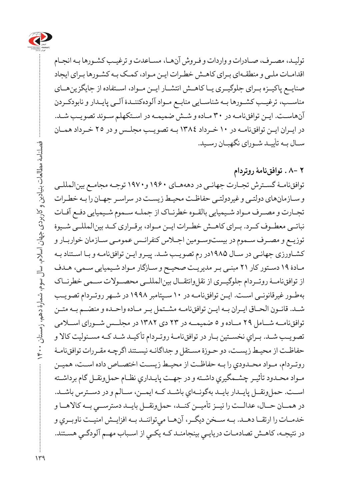

تولیـد، مصـرف، صـادرات و واردات و فـروش آنهـا، مسـاعدت و ترغیـب کشـورها بـه انجـام اقدامـات ملـی و منطقـهای بـرای کاهـش خطـرات ایـن مـواد، کمـک بـه کشـورها بـرای ایجاد صنایــع پاکیــزه بــرای جلوگیــری یــا کاهــش انتشــار ایــن مــواد، اســتفاده از جایگزینهــای مناسـب، ترغیــب کشــورها بـه شناســایی منابــع مــواد آلودهکننــدۀ آلــی پایــدار و نابودکـردن آنهاسـت. ایـن توافقنامـه در ٣٠ مـاده و شـش ضمیمـه در اسـتکهلم سـوئد تصویـب شـد. در ایـران ایــن توافق نامــه در ١٠ خـرداد ١٣٨٤ بـه تصویـب مجلـس و در ٢٥ خـرداد همـان سـال بـه تأییـد شـورای نگهبـان رسـید.

**2 8- . توافقنامۀ روتردام** توافقنامـۀ گسـترش تجـارت جهانـی در دهههـای ۱۹۶۰و۱۹۷۰ توجـه مجامـع بینالمللـی و سـازمانهای دولتـی و غیردولتـی حفاظـت محیـط زیسـت در سراسـر جهـان را بـه خطـرات تجـارت و مصـرف مـواد شـیمیایی بالقـوه خطرنـاک از جملـه سـموم شـیمیایی دفـع آفـات نباتــی معطــوف کــرد. بــرای کاهــش خطــرات ایــن مــواد، برقــراری کــد بینالمللــی شــیوۀ توزیـع و مصـرف سـموم در بیستوسـومین اجـاس کنفرانـس عمومـی سـازمان خواربـار و کشـاورزی جهانـی در سـال ۱۹۸۵در رم تصویـب شـد. پیـرو ایـن توافقنامـه و بـا اسـتناد بـه مـادۀ 19 دسـتور کار 21 مبنـی بـر مدیریـت صحیـح و سـازگار مـواد شـیمیایی سـمی، هـدف از توافقنامـۀ روتــردام جلوگیــری از نقلوانتقــال بینالمللــی محصــوالت ســمی خطرنــاک بهط ور غیرقانونسی است. ایـن توافقنامـه در ۱۰ سـپتامبر ۱۹۹۸ در شـهر روتـردام تصویـب شــد. قانــون الحــاق ايــران بــه ايــن توافقنامــه مشــتمل بــر مــاده واحــده و منضــم بــه متــن توافق نامــه شــامل ٢٩ مــاده و ٥ ضمیمــه در ٢٣ دی ١٣٨٢ در مجلــس شــورای اســلامی تصویـب شـد. بـراي نخسـتين بـار در توافقنامـهٔ روتـردام تأکیـد شـد كـه مسـئوليت كالا و حفاظـت از محيـط زيسـت، دو حـوزة مسـتقل و جداگانـه نيسـتند اگرچـه مقـررات توافقiامـۀ روتـردام، مـواد محـدودي را بـه حفاظـت از محيـط زيسـت اختصـاص داده اسـت، هميـن مـواد محـدود تأثيـر چشـمگيري داشـته و در جهـت پايـداري نظـام حملونقـل گام برداشـته اســت. حملونقــل پايــدار بايــد بهگونــهاي باشــد كــه ايمــن، ســالم و در دســترس باشـ د. در همــان حــال، عدالــت را نيــز تأميــن كنــد، حملونقــل بايــد دسترســي بــه كالاهــا و خدمــات را ارتقــا دهــد. بــه ســخن ديگــر، آنهــا ميتواننــد بــه افزايــش امنيــت ناوبــري و در نتيجـه، كاهـش تصادمـات دريايـي بینجامنـد كـه يكـي از اسـباب مهـم آلودگـي هسـتند.

 $149$ 

فصلنامۀ مطالعات بنیادین و کاربردی جهان اسالم، سال سوم، شمارۀ دهم، زمستان 1400

فصلنامهٔ مطالعات بنیادین و کاربردی جهان اسلام، سال سوم، شمارهٔ دهم، زمستان ۱۴۰۰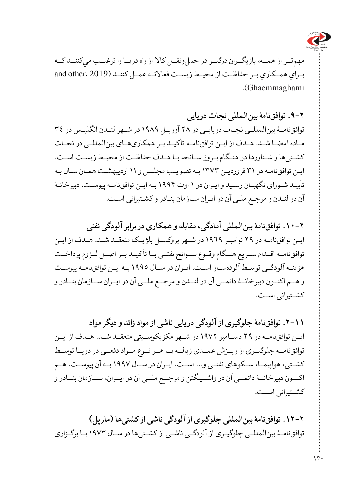

مهمتـر از همــه، بازيگــران درگيــر در حملونقــل كالا از راه دريــا را ترغيــب ميكننــد كــه بـراي همـكاري بـر حفاظـت از محيـط زيسـت فعالانـه عمـل كننـد (2019 ,and other Ghaemmaghami(.

**.9-2 توافقنامۀ بینالمللی نجات در یایی**

توافق نامــهٔ بین المللــی نجــات دریایــی در ٢٨ آوریــل ١٩٨٩ در شــهر لنــدن انگلیـس در ٣٤ م اده امضـا ش د. ه دف از ایـن توافقنامـه تأکیـد بـر همکاریهـای بینالمللـی در نجـات کشـتیها و شـناورها در هنـگام بـروز سـانحه بـا هـدف حفاظـت از محیـط زیسـت اسـت. ایـن توافقنامـه در 31 فروردیـن 1373 بـه تصویـب مجلـس و 11 اردیبهشـت همـان سـال بـه تأییـد شـورای نگهبـان رسـید و ایـران در 1 اوت 1994 ب ه ایـن توافقنامـه پیوسـت. دبیرخانـۀ آن در لنـدن و مرجـع ملـی آن در ایـران سـازمان بنـادر و کشـتیرانی اسـت.

**.10-2 توافقنامۀ بینالمللی آمادگی، مقابله و همکاری در برابر آلودگی نفتی** ایـن توافق نامـه در ٢٩ نوامبـر ١٩٦٩ در شـهر بروکسـل بلژیـک منعقـد شـد. هـدف از ایـن توافقنامــه اقــدام ســریع هنــگام وقــوع ســوانح نفتــی بــا تأکیــد بــر اصــل لــزوم پرداخــت هزینــۀ آلودگــی توسـط آلودهســاز اســت. ایــران در ســال 1995 ب ه ایـن توافقنامـه پیوســت و هــم اکنــون دبیرخانــۀ دائمــی آن در لنــدن و مرجــع ملــی آن در ایــران ســازمان بنــادر و کشــتیرانی اســت.

**.2-11 توافقنامۀ جلوگیری از آلودگی در یایی ناشی از مواد زائد و دیگر مواد** ایــن توافقنامــه در ٢٩ دســامبر ١٩٧٢ در شــهر مکزیکوســیتی منعقــد شــد. هــدف از ایــن توافقنامــه جلوگیــری از ریــزش عمــدی زبالــه یــا هــر نــوع مــواد دفعــی در دریــا توســط کشــتی، هواپیمــا، ســکوهای نفتــی و... اســت. ایــران در ســال 1997 بــه آن پیوســت. هــم اکنــون دبیرخانــۀ دائمــی آن در واشــینگتن و مرجــع ملــی آن در ایــران، ســازمان بنــادر و کشــتیرانی اســت.

**.12-2 توافقنامۀ بینالمللی جلوگیری از آلودگی ناشی از کشتیها )مار پل(** توافقنامـۀ بینالمللـی جلوگیـری از آلودگـی ناشـی از کشـتیها در سـال 1973 بـا برگـزاری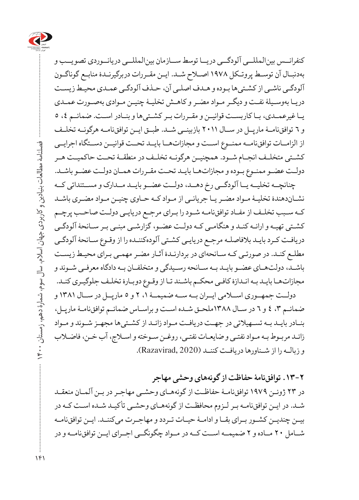

کنفرانــس بینالمللــی آلودگــی دریــا توسط ســازمان بینالمللــی دریانــوردی تصویــب و بهدنبـال آن توسـط پروتـکل 1978 اصـاح شـد. ایـن مقـررات دربرگیرنـدۀ منابـع گوناگـون آلودگـی ناشـی از کشـتیها بـوده و هـدف اصلـی آن، حـذف آلودگـی عمـدی محیـط زیسـت دریـا بهوسـیلۀ نفـت و دیگـر مـواد مضـر و کاهـش تخلیـۀ چنیـن مـوادی بهصـورت عمـدی یــا غیرعمــدی، بــا کاربســت قوانیــن و مقــررات بــر کشــتیها و بنــادر اســت. ضمائـم ،4 5 و 6 توافقنامـۀ مارپــل در ســال 2011 بازبینــی شــد. طبـق ایــن توافقنامــه هرگونــه تخلــف از الزاماــت توافقنامــه ممنــوع اســت و مجازاتهــا بایــد تحــت قوانیــن دســتگاه اجرایــی کشــتی متخلــف انجــام شــود. همچنیــن هرگونــه تخلــف در منطقــۀ تحــت حاکمیــت هــر دولـت عضـو ممنـوع بـوده و مجازاتهـا بایـد تحـت مقـررات همـان دولـت عضـو باشـد.

چنانچــه تخلیــه یــا آلودگــی رخ دهــد، دولــت عضــو بایــد مــدارک و مســتنداتی کــه نشـاندهندۀ تخلیـۀ مـواد مضـر یـا جریانـی از مـواد کـه حـاوی چنیـن مـواد مضـری باشـد کـه سـبب تخلـف از مفـاد توافقنامــه شـود را بـرای مرجـع دریایـی دولـت صاحـب پرچـم کشـتی تهیـه و ارائـه کنـد و هنگامـی کـه دولـت عضـو، گزارشـی مبنـی بـر سـانحۀ آلودگـی دریافـت کـرد بایـد بالفاصلـه مرجـع دریایـی کشـتی آلودهکننـده را از وقـوع سـانحۀ آلودگـی مطلـع کنـد. در صورتـی کـه سـانحهای در بردارنـدۀ آثـار مضـر مهمـی بـرای محیـط زیسـت باشـد، دولتهـای عضـو بایـد بـه سـانحه رسـیدگی و متخلفـان بـه دادگاه معرفـی شـوند و مجازاتهـا بایـد بـه انـدازۀ کافـی محکـم باشـند تـا از وقـوع دوبـارۀ تخلـف جلوگیـری کنـد. دولــت جمهــوری اســامی ایــران بــه ســه ضمیمــۀ ،1 2 و 5 مارپــل در ســال 1381 و

ضمائـم ،3 4 و 6 در سـال 1388ملحـق ش ده اس ت و براسـاس ضمائـم توافقنامـۀ مارپـل، بنـادر بایـد بـه تسـهیالتی در جهـت دریافـت مـواد زائـد از کشـتیها مجهـز شـوند و مـواد زائـد مربـوط بـه مـواد نفتـی و ضایعـات نفتـی، روغـن سـوخته و اسـاج، آب خـن، فاضـاب و زبالــه را از شــناورها دریافــت کننــد (2020 ,Razavirad).

**.13-2 توافقنامۀ حفاظت از گونههای وحشی مهاجر**  در 23 ژوئـن 1979توافقنامـۀ حفاظـت از گونههـای وحشـی مهاجـر در بـن آلمـان منعقـد شـد. در ایـن توافقنامـه بـر لـزوم محافظـت از گونههـای وحشـی تأکیـد شـده اسـت کـه در بینــ چندیـن کشوــر ب رای بق ا و ادامـۀ حی ات تـردد و مهاج رت میکنن د. ایــن توافقنامــه شــامل ٢٠ مــاده و ٢ ضمیمــه اســت کــه در مــواد چگونگــی اجــرای ایــن توافقiامــه و در

فصلنامۀ مطالعات بنیادین و کاربردی جهان اسالم، سال سوم، شمارۀ دهم، زمستان 1400

فصلنامهٔ مطالعات بنیادین و کاربردی جهان اسلام، سال سوم، شمارهٔ دهم، زمستان ۰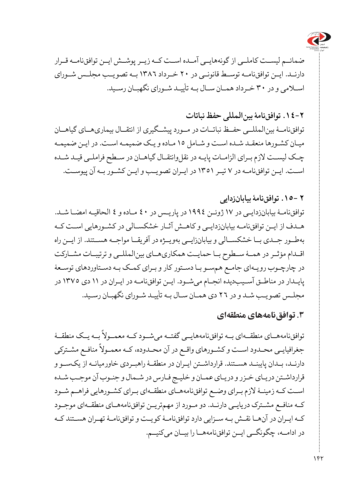

ضمائــم لیســت کاملــی از گونههایــی آمــده اســت کــه زیــر پوشــش ایــن توافقنامــه قــرار دارنـد. ایــن توافقنامــه توسـط قانونــی در ٢٠ خـرداد ١٣٨٢ بــه تصویـب مجلـس شـورای اسـامی و در 30 خـرداد همـان سـال بـه تأییـد شـورای نگهبـان رسـید.

# **.14-2 توافقنامۀ بینالمللی حفظ نباتات**

توافقنامـ ۀ بینالمللــی حفــظ نباتــات در مــورد پیشــگیری از انتقــال بیماریهــای گیاهــان میـان کشـورها منعقـد شـده اسـت و شـامل 15 مـاده و یـک ضمیمـه اسـت. در ایـن ضمیمـه چـک لیسـت لازم بـرای الزامـات پایـه در نقل وانتقـال گیاهـان در سـطح فراملـی قیـد شـده است. ایـن توافق نامـه در ٧ تیـر ١٣٥١ در ایـران تصویـب و ایـن کشـور بـه آن پیوسـت.

### **2 .15- توافقنامۀ بیابانزدایی**

توافق نامـهٔ بیابانزدایـی در ۱۷ ژوئـن ۱۹۹۶ در پاریـس در ٤٠ مـاده و ٤ الحاقیـه امضـا شـد. ه دف از ایـن توافقنامـه بیابانزدایـی و کاهـش آثـار خشکسـالی در کشـورهایی اسـت کـه بهطــور جــدی بــا خشکســالی و بیابانزایــی بهویــژه در آفریقــا مواجــه هســتند. از ایــن راه اقــدام مؤثــر در همــۀ ســطوح بــا حمایــت همکاریهــای بینالمللــی و ترتیبــات مشــارکت در چارچـوب رویـهای جامـع همسـو بـا دسـتور کار و بـرای کمـک بـه دسـتاوردهای توسـعۀ پایلدار در مناطق آسیبدیده انجام میشود. ایـن توافقنامه در ایـران در ١١ دی ١٣٧٥ در مجلـس تصویـب شـد و در 26 دی همـان سـال بـه تأییـد شـورای نگهبـان رسـید.

## **.3 توافقنامههای منطقهای**

توافقنامههــاي منطقــهاي بــه توافقنامههايــي گفتــه ميشــود كــه معمــولاً بــه يــک منطقــهٔ ر ت<br>جغرافیایـی محـدود اسـت و کشـورهای واقـع در آن محـدوده، کـه معمـولاً منافـع مشـترکی دارنـد، بـدان پایبنـد هسـتند. قرارداشـتن ایـران در منطقـۀ راهبـردی خاورمیانـه از یکسـو و قرارداشـتن دریـای خـزر و دریـای عمـان و خلیـج فـارس در شـمال و جنـوب آن موجـب شـده اسـت کـه زمینـهٔ لازم بـرای وضـع توافقنامههـای منطقـهای بـرای کشـورهایی فراهـم شـود کـه منافـع مشـترک دریایــی دارنــد. دو مــورد از مهمتریــن توافقنامههــای منطقــهای موجــود کهــ ایرـان در آنه ا نق ش ب ه سزــایی دارد توافقنامـۀ کویتـ و توافقنامـۀ تهـران هسـتند کـه در ادامــه، چگونگـــی ایــن توافقنامههــا را بیــان میکنیـــم.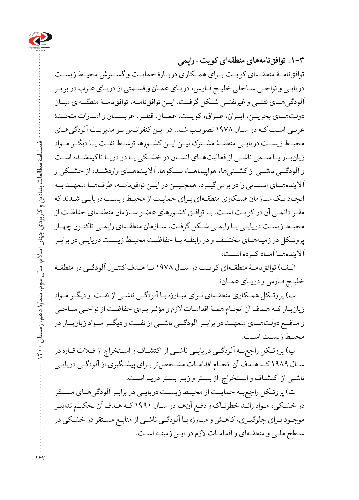

**.1-3 توافقنامههای منطقهای کویت – راپمی** توافقنامــۀ منطقــهای کویــت بــرای همــکاری دربــارۀ حمایــت و گســترش محیــط زیســت دریایـی و نواحـی سـاحلی خلیـج فـارس، دریـای عمـان و قسـمتی از دریـای عـرب در برابـر آلودگیه ای نفتـی و غیرنفتیــ ش کل گرف ت. ایـن توافقنامـه، توافقنامـۀ منطقــهای میــان دولتهــای بحریــن، ایــران، عــراق، کویــت، عمــان، قطــر، عربســتان و امــارات متحــدۀ عربـی اسـت کـه در سـال 1978 تصویـب شـد. در ایـن کنفرانـس بـر مدیریـت آلودگیهـای محیــط زیســت دریایــی منطقــۀ مشــترک بیــن ایــن کشــورها توســط نفــت یــا دیگــر مــواد زیانبــار یــا ســمی ناشــی از فعالیتهــای انســان در خشــکی یــا در دریــا تأ کیدشــده اســت و آلودگــی ناشــی از کشــتیها، هواپیماهــا، ســکوها، آالیندههــای واردشــده از خشــکی و آالیندههاـی انس انی را در برمیگی رد. همچنی ن در ایــن توافقنامهــ، طرفهــا متعهــد بــه ایجـاد یـک سـازمان همـکاری منطقـهای بـرای حمایـت از محیـط زیسـت دریایـی شـدند که مقـر دائمـی آن در کویـت اسـت. بـا توافـق کشـورهای عضـو سـازمان منطقـهای حفاظـت از محیـط زیسـت دریایـی یـا رایمـی شـکل گرفـت. سـازمان منطقـهای رابمـی تاکنـون چهـار پروتــکل در زمینههــای مختلــف و در رابطــه بــا حفاظــت محیــط زیســت دریایــی در برابــر آالیندههــا آمــاد کــرده اســت:

الـف) توافقنامـۀ منطقـهای کویـت در سـال ١٩٧٨ بـا هـدف کنتـرل آلودگـی در منطقـۀ خلیـج فـارس و دریـای عمـان؛

ب) پروتـکل همـکاری منطقـهای بـرای مبـارزه بـا آلودگـی ناشـی از نفـت و دیگـر مـواد زیانبـار کـه هـدف آن انجـام همـۀ اقدامـات الزم و مؤثـر بـرای حفاظـت از نواحـی سـاحلی و منافــع دولتهــای متعهــد در برابــر آلودگــی ناشــی از نفــت و دیگــر مــواد زیانبــار در محیـط زیسـت اسـت.

پ) پروتــکل راجعبــه آلودگــی دریایــی ناشــی از اکتشــاف و اســتخراج از فــلات قــاره در سـال 1989 کـه هـدف آن انجـام اقدامـات مشـخصتر بـرای پیشـگیری از آلودگـی دریایـی ناشـی از اکتشـاف و اسـتخراج از بسـتر و زیـر بسـتر دریـا اسـت.

ت) پروتـكل راجعبــه حمايــت از محيـط زيســت دريايــي در برابــر آلودگيهــاي مســتقر در خشـکی، مـواد زائـد خطرنـاک و دفـع آنهـا در سـال 1990 کـه هـدف آن تحکیـم تدابیـر موجـود بـرای جلوگیـری، کاهـش و مبـارزه بـا آلودگـی ناشـی از منابـع مسـتقر در خشـکی در سـطح ملـی و منطقـهای و اقدامـات الزم در ایـن زمینـه اسـت.

 $154$ 

فصلنامۀ مطالعات بنیادین و کاربردی جهان اسالم، سال سوم، شمارۀ دهم، زمستان 1400

فصلنامه مطالعات بنیادین و کاربردی جهان اسلام، سال سوم، شمارهٔ دهم، زمستان ۴۰۰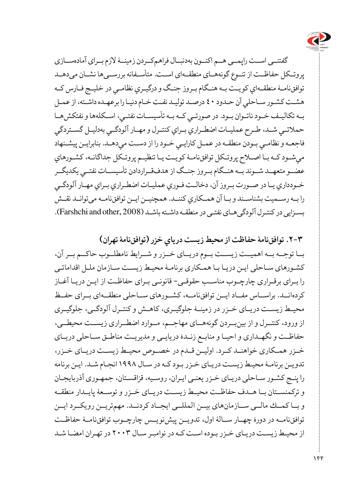

 گفتنــی اســت راپمــی هــم اکنــون بهدنبــال فراهمکــردن زمینــۀ الزم بــرای آمادهســازی پروتــکل حفاظــت از تنــوع گونههــای منطقــهای استــ. متأســفانه بررســیها نشــان میدهــد توافقنامـهٔ منطقـهاي كويـت بـه هنـگام بـروز جنـگ و درگيـري نظامـي در خليـج فـارس كـه هشـت كشـور سـاحلي آن حـدود ٤٠ درصـد توليـد نفـت خـام دنيـا را برعهـده داشـته، از عمـل بــه تكاليــف خــود ناتــوان بــود. در صورتــي كــه بــه تأسيســات نفتــي، اســكلهها و نفتكش هــا حمالتــي شــد، طــرح عمليــات اضطــراري بــراي كنتــرل ومهــارآلودگــي بهدليــل گســتردگي فاجعـهونظامـي بـودن منطقـه درعمـل كارايـي خـودرا ازدسـت ميدهـد. بنابرایـن پيشـنهاد ميشـودكـهبـا اصـاح پروتـكل توافقنامۀــكويـت يـا تنظيـم پروتـكل جداگانـه،كشـورهاي عضــومتعهــد شــوند بــه هنــگامبــروز جنــگاز هدفقــراردادن تأسيســات نفتــي يكديگـر خـودداري يـادرصـورت بـروزآن،دخالـت فـوري عمليـات اضطـراري بـراي مهـارآلودگـي را بــهرســميت بشناســند وبــا آن همــكاري کننـد. همچنیــن ایــن توافقنامــه میتوانــد نقــش بسـزایی در کنتـرل آلودگی هـای نفتـی در منطقـه داشـته باشـد (Farshchi and other, 2008).

**.2-3 توافقنامۀ حفاظت از محيط زيست درياي خزر )توافقنامۀ تهران(** بــا توجــه بــه اهمیــت زیســت بــوم دریــای خــزر و شــرایط نامطلــوب حاکــم بــر آن، کشـورهای سـاحلی ایـن دریـا بـا همـکاری برنامـۀ محیـط زیسـت سـازمان ملـل اقداماتـی را بـرای برقـراری چارچـوب مناسـب حقوقـی- قانونـی بـرای حفاظـت از ایـن دریـا آغـاز کردهانــد. براســاس مفــاد ایــن توافقiامــه، کشــورهای ســاحلی منطقــهای بــرای حفــظ محیــط زیســت دریــای خــزر در زمینــۀ جلوگیــری، کاهــش و کنتــرل آلودگــی، جلوگیــری از ورود، کنتــرل و از بینبــردن گونههــای مهاجــم، مــوارد اضطــراری زیســت محیطــی، حفاظــت و نگهــداری و احیــا و منابــع زنــدۀ دریایــی و مدیریــت مناطــق ســاحلی دریــای خــزر همــکاری خواهنــد کــرد. اوليــن قــدم در خصــوص محيــط زيســت دريــای خــزر، تدويـن برنامـۀ محيـط زيسـت دريـای خـزر بـود كـه در سـال 1998 انجـام شـد. ايـن برنامه را پنـج كشـور سـاحلی دريـای خـزر يعنـی ايـران، روسـيه، قزاقسـتان، جمهـوری آذربايجـان و تركمنســتان بــا هــدف حفاظــت محيــط زيســت دريــای خــزر و توســعۀ پايــدار منطقــه و بــا كمــك مالــی ســازمانهای بيــن المللــی ايجــاد کردنــد. مهمتريــن رويكــرد ايــن توافقنامـه در دورۀ چهــار س الۀ اول، تدوين پيشنويســ چارچوــب توافقنامـۀ حفاظــت از محيـط زيسـت دريـای خـزر بـوده اسـت كـه در نوامبـر سـال 2003 در تهـران امضـا شـد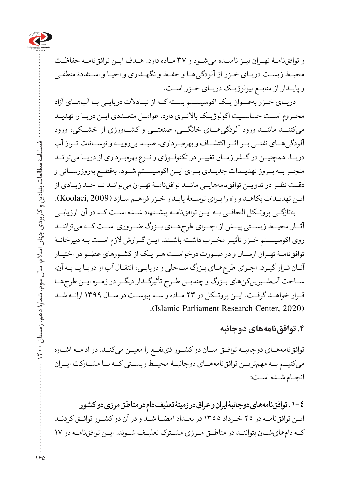

و توافقنام ۀ تهـران نيـز ناميـده میشـود و 37 مـاده دارد. هـدف ایـن توافقنامـه حفاظـت محیـط زیسـت دریـای خـزر از آلودگیهـا و حفـظ و نگهـداری و احیـا و اسـتفادۀ منطقـی و پایـدار از منابـع بیولوژیـک دریـای خـزر اسـت.

دریــای خــزر بهعنــوان یــک اکوسیســتم بســته کــه از تبــادالت دریایــی بــا آبهــای آزاد محــروم اســت حساســیت اکولوژیــک باالتــری دارد. عوامــل متعــددی ایــن دریــا را تهدیــد میکننــد ماننــد ورود آلودگیهــای خانگــی، صنعتــی و کشــاورزی از خشــکی، ورود آلودگیهــای نفتــی بــر اثــر اکتشــاف و بهرهبــرداری، صیــد بیرویــه و نوســانات تــراز آب دریــا. همچنیــن در گــذر زمــان تغییــر در تکنولــوژی و نــوع بهرهبــرداری از دریــا میتوانــد منجــر بــه بــروز تهدیــدات جدیــدی بــرای ایــن اکوسیســتم شــود. بهقطــع بهروزرســانی و دقـت نظـر در تدویــن توافقنامههایــی ماننــد توافقنامــهٔ تهـران میتوانــد تــا حــد زیــادی از ایـن تهدیـدات بکاهـد و راه را بـرای توسـعۀ پایـدار خـزر فراهـم سـازد (2009 ,Koolaei).

بهتازگــی پروتــکل الحاقــی بــه ایــن توافقنامــه پیشــنهاد شــده اســت کــه در آن ارزیابــی آثــار محیــط زیســتی پیــش از اجــرای طرحهــای بــزرگ ضــروری اســت کــه میتواننــد روی اکوسیســتم خــزر تأثیــر مخــرب داشــته باشــند. ایــن گــزارش الزم اســت بــه دبیرخانــۀ توافقنامـۀ تهـران ارسـال و در صـورت درخواسـت هـر یـک از کشـورهای عضـو در اختیـار آنـان قـرار گیـرد. اجـرای طرحهـای بـزرگ سـاحلی و دریایـی، انتقـال آب از دریـا یـا بـه آن، ســاخت آبشــیرینکنهای بــزرگ و چندیــن طــرح تأثیرگــذار دیگــر در زمــره ایــن طرحهــا قــرار خواهــد گرفــت. ایــن پروتــکل در 23 مــاده و ســه پیوســت در ســال 1399 ارائــه شــد (Islamic Parliament Research Center, 2020).

## **.4 توافقنامههای دوجانبه**

توافقنامههـای دوجانبــه توافــق میــان دو کشــور ذینفــع را معیــن میکنــد. در ادامــه اشــاره میکنیــم بــه مهمتریــن توافقنامههــای دوجانبــۀ محیــط زیســتی کــه بــا مشــارکت ایــران انجـام شـده اسـت:

**.1-4 توافقنامههای دوجانبۀ ایران و عراق در زمینۀ تعلیف دام در مناطق مرزی دو کشور** ایــن توافق نامـه در ٢٥ خــرداد ١٣٥٥ در بغــداد امضــا شــد و در آن دو کشــور توافــق کردنــد کـه دامهای شان بتواننـد در مناطــق مـرزی مشـترک تعلیـف شـوند. ایـن توافق نامـه در ١٧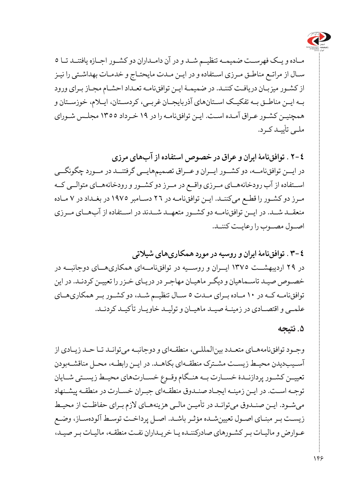

مــاده و یــک فهرســت ضمیمــه تنظیــم شــد و در آن دامــداران دو کشــور اجــازه یافتنــد تــا 5 سـال از مراتـع مناطـق مـرزی اسـتفاده و در ایـن مـدت مایحتـاج و خدمـات بهداشـتی را نیـز از کشـور میزبـان دریافـت کننـد. در ضمیمـۀ ایـن توافقiامـه تعـداد احشـام مجـاز بـرای ورود بــه ایــن مناطــق بــه تفکیــک اســتانهای آذربایجــان غربــی، کردســتان، ایــام، خوزســتان و همچنیــن کشـور عــراق آمــده اســت. ایــن توافقiامــه را در ۱۹ خــرداد ۱۳۵۵ مجلـس شــورای ملـی تأییـد کـرد.

**2-4** . **توافقنامۀ ایران و عراق در خصوص استفاده از آبهای مرزی**  در ایــن توافقنامــه، دو کشــور ایــران و عــراق تصمیمهایــی گرفتنــد در مــورد چگونگــی اســتفاده از آب رودخانههــای مــرزی واقــع در مــرز دو کشــور و رودخانههــای متوالــی کــه م رز دو کش ور را قطعــ میکنن د. ای ن توافقنام ه در 26 دسـامبر 1975 در بغـداد در 7 مـاده منعقــد شــد. در ایــن توافقنامــه دو کشــور متعهــد شــدند در اســتفاده از آبهــای مــرزی اصــول مصــوب را رعایــت کننــد.

**3-4** . **توافقنامۀ ایران و روسیه در مورد همکاریهای شیالتی** در 29 اردیبهشــت 1375 ایــران و روســیه در توافقنامــهای همکاریهــای دوجانبــه در خصـوص صیـد تاسـماهیان و دیگـر ماهیـان مهاجـر در دریـای خـزر را تعییـن کردنـد. در این توافقنامــه کــه در 10 مــاده بــرای مــدت 5 ســال تنظیــم شــد، دو کشــور بــر همکاریهــای علمــی و اقتصــادی در زمینــۀ صیــد ماهیــان و تولیــد خاویــار تأکیــد کردنــد.

**.5 نتیجه** 

وجـود توافقنامههـای متعـدد بینالمللـی، منطقـهای و دوجانبـه میتوانـد تـا حـد زیـادی از آسـیبدیدن محیـط زیسـت مشـترک منطقـهای بکاهـد. در ایـن رابطـه، محـل مناقشـهبودن تعییــن کشــور پردازنــدۀ خســارت بــه هنــگام وقــوع خســارتهای محیــط زیســتی شــایان توجـه اسـت. در ایـن زمینـه ایجـاد صنـدوق منطقـهای جبـران خسـارت در منطقـه پیشـنهاد میشـود. ایـن صنـدوق میتوانـد در تأمیـن مالـی هزینههـای الزم بـرای حفاظـت از محیـط زیسـت بـر مبنـای اصـول تعیینشـده مؤثـر باشـد. اصـل پرداخـت توسـط آلودهسـاز، وضـع عـوارض و مالیـات بـر کشـورهای صادرکننـده یـا خریـداران نفـت منطقـه، مالیـات بـر صیـد،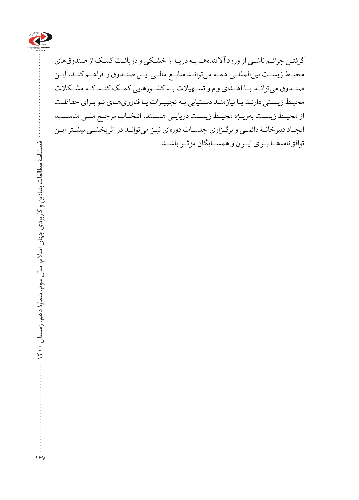

گرفتـن جرائـم ناشـی از ورود آالیندههـا بـه دریـا از خشـکی و دریافـت کمـک از صندوقهای محیــط زیســت بینالمللــی همــه میتوانــد منابــع مالــی ایــن صنــدوق را فراهــم کنــد. ایــن صنــدوق میتوانــد بــا اهــدای وام و تســهیالت بــه کشــورهایی کمــک کنــد کــه مشــکالت محیـط زیسـتی دارنـد یـا نیازمنـد دسـتیابی بـه تجهیـزات یـا فناوریهـای نـو بـرای حفاظـت از محیـط زیسـت بهویـژه محیـط زیسـت دریایـی هسـتند. انتخـاب مرجـع ملـی مناسـب، ایجـاد دبیرخانـۀ دائمـی و برگـزاری جلسـات دورهای نیـز میتوانـد در اثربخشـی بیشـتر ایـن توافقنامههـا بــرای ایــران و همســایگان مؤثــر باشــد.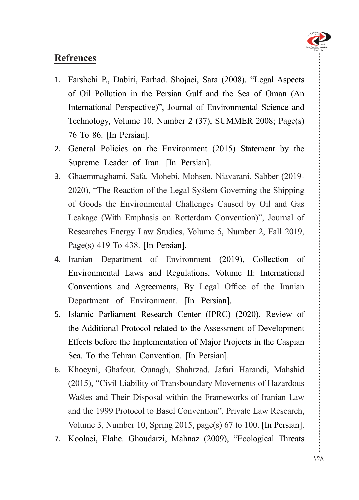

## **Refrences**

- 1. Farshchi P., Dabiri, Farhad. Shojaei, Sara (2008). "Legal Aspects of Oil Pollution in the Persian Gulf and the Sea of Oman (An International Perspective)", Journal of Environmental Science and Technology, Volume 10, Number 2  $(37)$ , SUMMER 2008; Page $(s)$ 76 To 86. [In Persian].
- 2. General Policies on the Environment (2015) Statement by the Supreme Leader of Iran. [In Persian].
- 3. Ghaemmaghami, Safa. Mohebi, Mohsen. Niavarani, Sabber (2019-2020), "The Reaction of the Legal System Governing the Shipping of Goods the Environmental Challenges Caused by Oil and Gas Leakage (With Emphasis on Rotterdam Convention)", Journal of Researches Energy Law Studies, Volume 5, Number 2, Fall 2019, Page(s) 419 To 438. [In Persian].
- 4. Iranian Department of Environment (2019), Collection of Environmental Laws and Regulations, Volume II: International Conventions and Agreements, By Legal Office of the Iranian Department of Environment. [In Persian].
- 5. Islamic Parliament Research Center (IPRC) (2020), Review of the Additional Protocol related to the Assessment of Development Effects before the Implementation of Major Projects in the Caspian Sea. To the Tehran Convention. [In Persian].
- 6. Khoeyni, Ghafour. Ounagh, Shahrzad. Jafari Harandi, Mahshid  $(2015)$ , "Civil Liability of Transboundary Movements of Hazardous Wastes and Their Disposal within the Frameworks of Iranian Law and the 1999 Protocol to Basel Convention", Private Law Research, Volume 3, Number 10, Spring 2015, page(s) 67 to 100. [In Persian].
- 7. Koolaei, Elahe. Ghoudarzi, Mahnaz (2009), "Ecological Threats